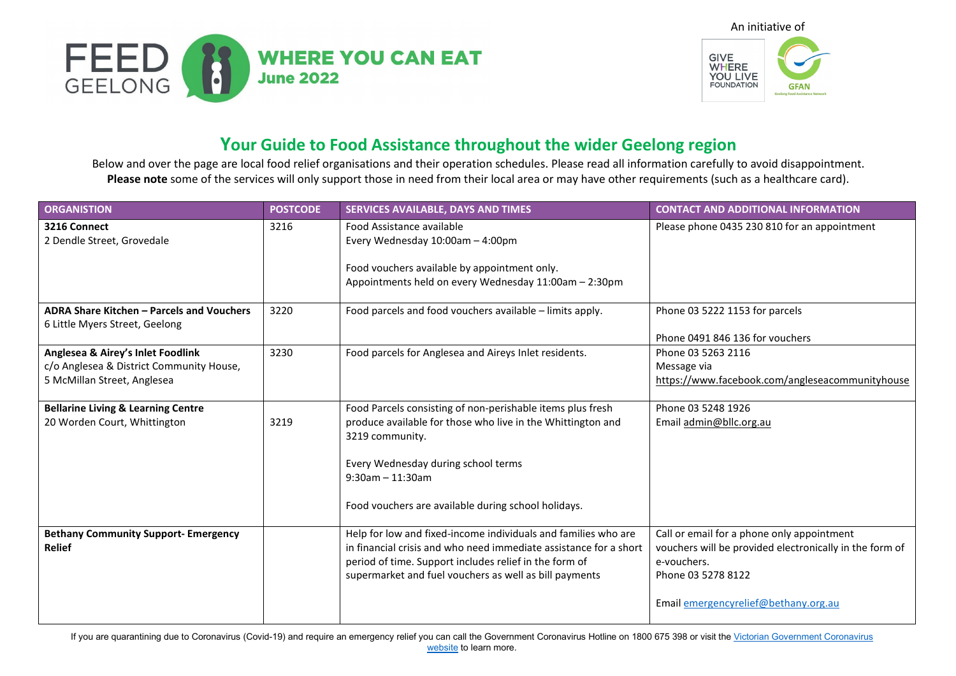



## **Your Guide to Food Assistance throughout the wider Geelong region**

Below and over the page are local food relief organisations and their operation schedules. Please read all information carefully to avoid disappointment. **Please note** some of the services will only support those in need from their local area or may have other requirements (such as a healthcare card).

| <b>ORGANISTION</b>                                                                                           | <b>POSTCODE</b> | SERVICES AVAILABLE, DAYS AND TIMES                                                                                                                                                                                                                                | <b>CONTACT AND ADDITIONAL INFORMATION</b>                                                                                                                                          |
|--------------------------------------------------------------------------------------------------------------|-----------------|-------------------------------------------------------------------------------------------------------------------------------------------------------------------------------------------------------------------------------------------------------------------|------------------------------------------------------------------------------------------------------------------------------------------------------------------------------------|
| 3216 Connect<br>2 Dendle Street, Grovedale                                                                   | 3216            | Food Assistance available<br>Every Wednesday 10:00am - 4:00pm<br>Food vouchers available by appointment only.<br>Appointments held on every Wednesday 11:00am - 2:30pm                                                                                            | Please phone 0435 230 810 for an appointment                                                                                                                                       |
| ADRA Share Kitchen - Parcels and Vouchers<br>6 Little Myers Street, Geelong                                  | 3220            | Food parcels and food vouchers available - limits apply.                                                                                                                                                                                                          | Phone 03 5222 1153 for parcels<br>Phone 0491 846 136 for vouchers                                                                                                                  |
| Anglesea & Airey's Inlet Foodlink<br>c/o Anglesea & District Community House,<br>5 McMillan Street, Anglesea | 3230            | Food parcels for Anglesea and Aireys Inlet residents.                                                                                                                                                                                                             | Phone 03 5263 2116<br>Message via<br>https://www.facebook.com/angleseacommunityhouse                                                                                               |
| <b>Bellarine Living &amp; Learning Centre</b><br>20 Worden Court, Whittington                                | 3219            | Food Parcels consisting of non-perishable items plus fresh<br>produce available for those who live in the Whittington and<br>3219 community.<br>Every Wednesday during school terms<br>$9:30$ am - 11:30am<br>Food vouchers are available during school holidays. | Phone 03 5248 1926<br>Email admin@bllc.org.au                                                                                                                                      |
| <b>Bethany Community Support- Emergency</b><br><b>Relief</b>                                                 |                 | Help for low and fixed-income individuals and families who are<br>in financial crisis and who need immediate assistance for a short<br>period of time. Support includes relief in the form of<br>supermarket and fuel vouchers as well as bill payments           | Call or email for a phone only appointment<br>vouchers will be provided electronically in the form of<br>e-vouchers.<br>Phone 03 5278 8122<br>Email emergencyrelief@bethany.org.au |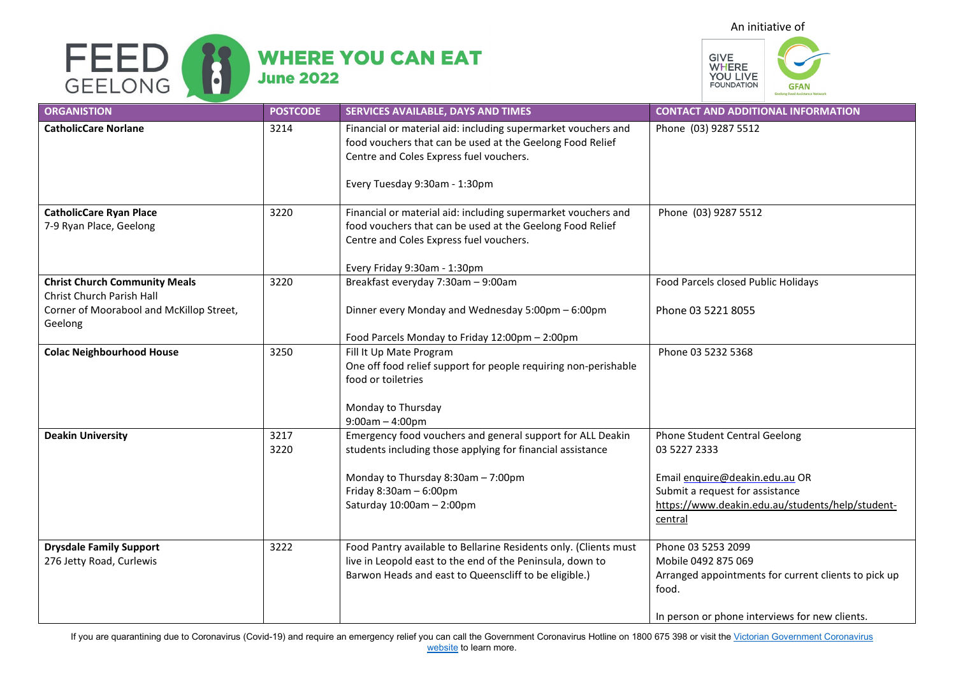



| <b>ORGANISTION</b>                                                                                                       | <b>POSTCODE</b> | SERVICES AVAILABLE, DAYS AND TIMES                                                                                                                                                                                         | <b>CONTACT AND ADDITIONAL INFORMATION</b>                                                                                                                                         |
|--------------------------------------------------------------------------------------------------------------------------|-----------------|----------------------------------------------------------------------------------------------------------------------------------------------------------------------------------------------------------------------------|-----------------------------------------------------------------------------------------------------------------------------------------------------------------------------------|
| <b>CatholicCare Norlane</b>                                                                                              | 3214            | Financial or material aid: including supermarket vouchers and<br>food vouchers that can be used at the Geelong Food Relief<br>Centre and Coles Express fuel vouchers.<br>Every Tuesday 9:30am - 1:30pm                     | Phone (03) 9287 5512                                                                                                                                                              |
| <b>CatholicCare Ryan Place</b><br>7-9 Ryan Place, Geelong                                                                | 3220            | Financial or material aid: including supermarket vouchers and<br>food vouchers that can be used at the Geelong Food Relief<br>Centre and Coles Express fuel vouchers.<br>Every Friday 9:30am - 1:30pm                      | Phone (03) 9287 5512                                                                                                                                                              |
| <b>Christ Church Community Meals</b><br>Christ Church Parish Hall<br>Corner of Moorabool and McKillop Street,<br>Geelong | 3220            | Breakfast everyday 7:30am - 9:00am<br>Dinner every Monday and Wednesday 5:00pm - 6:00pm<br>Food Parcels Monday to Friday 12:00pm - 2:00pm                                                                                  | Food Parcels closed Public Holidays<br>Phone 03 5221 8055                                                                                                                         |
| <b>Colac Neighbourhood House</b>                                                                                         | 3250            | Fill It Up Mate Program<br>One off food relief support for people requiring non-perishable<br>food or toiletries<br>Monday to Thursday<br>$9:00am - 4:00pm$                                                                | Phone 03 5232 5368                                                                                                                                                                |
| <b>Deakin University</b>                                                                                                 | 3217<br>3220    | Emergency food vouchers and general support for ALL Deakin<br>students including those applying for financial assistance<br>Monday to Thursday 8:30am - 7:00pm<br>Friday $8:30$ am $-6:00$ pm<br>Saturday 10:00am - 2:00pm | Phone Student Central Geelong<br>03 5227 2333<br>Email enquire@deakin.edu.au OR<br>Submit a request for assistance<br>https://www.deakin.edu.au/students/help/student-<br>central |
| <b>Drysdale Family Support</b><br>276 Jetty Road, Curlewis                                                               | 3222            | Food Pantry available to Bellarine Residents only. (Clients must<br>live in Leopold east to the end of the Peninsula, down to<br>Barwon Heads and east to Queenscliff to be eligible.)                                     | Phone 03 5253 2099<br>Mobile 0492 875 069<br>Arranged appointments for current clients to pick up<br>food.<br>In person or phone interviews for new clients.                      |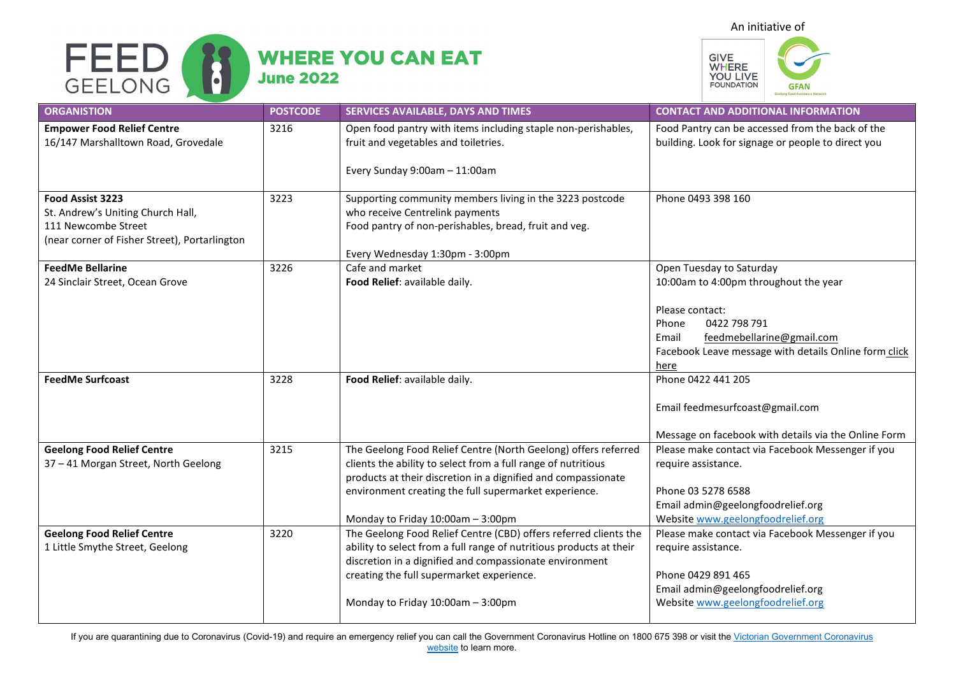

## **WHERE YOU CAN EAT June 2022**



| <b>ORGANISTION</b>                                                                                                            | <b>POSTCODE</b> | SERVICES AVAILABLE, DAYS AND TIMES                                                                                                                                                                 | <b>CONTACT AND ADDITIONAL INFORMATION</b>                                                                                                       |
|-------------------------------------------------------------------------------------------------------------------------------|-----------------|----------------------------------------------------------------------------------------------------------------------------------------------------------------------------------------------------|-------------------------------------------------------------------------------------------------------------------------------------------------|
| <b>Empower Food Relief Centre</b><br>16/147 Marshalltown Road, Grovedale                                                      | 3216            | Open food pantry with items including staple non-perishables,<br>fruit and vegetables and toiletries.                                                                                              | Food Pantry can be accessed from the back of the<br>building. Look for signage or people to direct you                                          |
|                                                                                                                               |                 | Every Sunday 9:00am - 11:00am                                                                                                                                                                      |                                                                                                                                                 |
| Food Assist 3223<br>St. Andrew's Uniting Church Hall,<br>111 Newcombe Street<br>(near corner of Fisher Street), Portarlington | 3223            | Supporting community members living in the 3223 postcode<br>who receive Centrelink payments<br>Food pantry of non-perishables, bread, fruit and veg.<br>Every Wednesday 1:30pm - 3:00pm            | Phone 0493 398 160                                                                                                                              |
| <b>FeedMe Bellarine</b>                                                                                                       | 3226            | Cafe and market                                                                                                                                                                                    | Open Tuesday to Saturday                                                                                                                        |
| 24 Sinclair Street, Ocean Grove                                                                                               |                 | Food Relief: available daily.                                                                                                                                                                      | 10:00am to 4:00pm throughout the year                                                                                                           |
|                                                                                                                               |                 |                                                                                                                                                                                                    | Please contact:<br>0422 798 791<br>Phone<br>feedmebellarine@gmail.com<br>Email<br>Facebook Leave message with details Online form click<br>here |
| <b>FeedMe Surfcoast</b>                                                                                                       | 3228            | Food Relief: available daily.                                                                                                                                                                      | Phone 0422 441 205                                                                                                                              |
|                                                                                                                               |                 |                                                                                                                                                                                                    | Email feedmesurfcoast@gmail.com                                                                                                                 |
|                                                                                                                               |                 |                                                                                                                                                                                                    | Message on facebook with details via the Online Form                                                                                            |
| <b>Geelong Food Relief Centre</b><br>37 - 41 Morgan Street, North Geelong                                                     | 3215            | The Geelong Food Relief Centre (North Geelong) offers referred<br>clients the ability to select from a full range of nutritious<br>products at their discretion in a dignified and compassionate   | Please make contact via Facebook Messenger if you<br>require assistance.                                                                        |
|                                                                                                                               |                 | environment creating the full supermarket experience.                                                                                                                                              | Phone 03 5278 6588<br>Email admin@geelongfoodrelief.org                                                                                         |
|                                                                                                                               |                 | Monday to Friday 10:00am - 3:00pm                                                                                                                                                                  | Website www.geelongfoodrelief.org                                                                                                               |
| <b>Geelong Food Relief Centre</b><br>1 Little Smythe Street, Geelong                                                          | 3220            | The Geelong Food Relief Centre (CBD) offers referred clients the<br>ability to select from a full range of nutritious products at their<br>discretion in a dignified and compassionate environment | Please make contact via Facebook Messenger if you<br>require assistance.                                                                        |
|                                                                                                                               |                 | creating the full supermarket experience.                                                                                                                                                          | Phone 0429 891 465                                                                                                                              |
|                                                                                                                               |                 |                                                                                                                                                                                                    | Email admin@geelongfoodrelief.org                                                                                                               |
|                                                                                                                               |                 | Monday to Friday 10:00am - 3:00pm                                                                                                                                                                  | Website www.geelongfoodrelief.org                                                                                                               |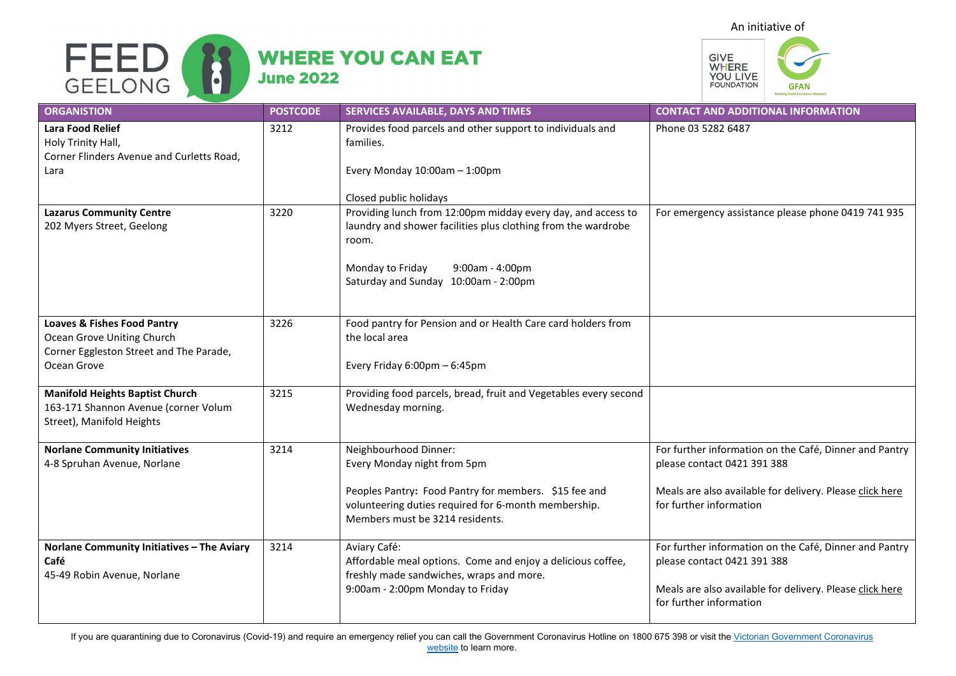



| <b>ORGANISTION</b>                                                                                                             | <b>POSTCODE</b> | SERVICES AVAILABLE, DAYS AND TIMES                                                                                                                                                                                    | <b>CONTACT AND ADDITIONAL INFORMATION</b>                                                                                                                                    |
|--------------------------------------------------------------------------------------------------------------------------------|-----------------|-----------------------------------------------------------------------------------------------------------------------------------------------------------------------------------------------------------------------|------------------------------------------------------------------------------------------------------------------------------------------------------------------------------|
| <b>Lara Food Relief</b><br>Holy Trinity Hall,<br>Corner Flinders Avenue and Curletts Road,<br>Lara                             | 3212            | Provides food parcels and other support to individuals and<br>families.<br>Every Monday 10:00am - 1:00pm<br>Closed public holidays                                                                                    | Phone 03 5282 6487                                                                                                                                                           |
| <b>Lazarus Community Centre</b><br>202 Myers Street, Geelong                                                                   | 3220            | Providing lunch from 12:00pm midday every day, and access to<br>laundry and shower facilities plus clothing from the wardrobe<br>room.<br>Monday to Friday<br>9:00am - 4:00pm<br>Saturday and Sunday 10:00am - 2:00pm | For emergency assistance please phone 0419 741 935                                                                                                                           |
| <b>Loaves &amp; Fishes Food Pantry</b><br>Ocean Grove Uniting Church<br>Corner Eggleston Street and The Parade,<br>Ocean Grove | 3226            | Food pantry for Pension and or Health Care card holders from<br>the local area<br>Every Friday 6:00pm - 6:45pm                                                                                                        |                                                                                                                                                                              |
| <b>Manifold Heights Baptist Church</b><br>163-171 Shannon Avenue (corner Volum<br>Street), Manifold Heights                    | 3215            | Providing food parcels, bread, fruit and Vegetables every second<br>Wednesday morning.                                                                                                                                |                                                                                                                                                                              |
| <b>Norlane Community Initiatives</b><br>4-8 Spruhan Avenue, Norlane                                                            | 3214            | Neighbourhood Dinner:<br>Every Monday night from 5pm<br>Peoples Pantry: Food Pantry for members. \$15 fee and<br>volunteering duties required for 6-month membership.<br>Members must be 3214 residents.              | For further information on the Café, Dinner and Pantry<br>please contact 0421 391 388<br>Meals are also available for delivery. Please click here<br>for further information |
| Norlane Community Initiatives - The Aviary<br>Café<br>45-49 Robin Avenue, Norlane                                              | 3214            | Aviary Café:<br>Affordable meal options. Come and enjoy a delicious coffee,<br>freshly made sandwiches, wraps and more.<br>9:00am - 2:00pm Monday to Friday                                                           | For further information on the Café, Dinner and Pantry<br>please contact 0421 391 388<br>Meals are also available for delivery. Please click here<br>for further information |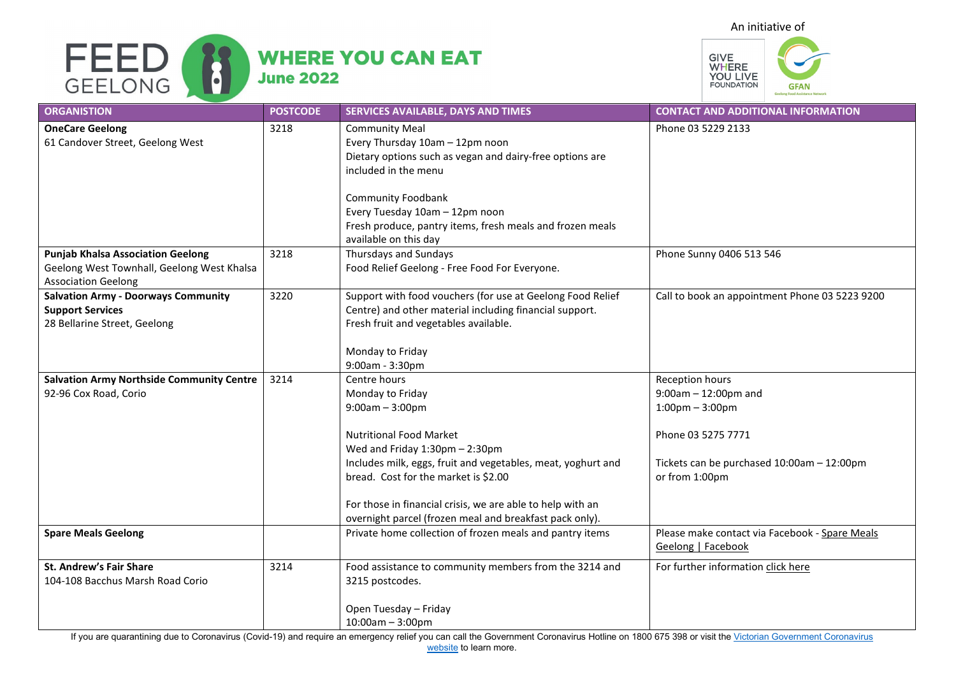An initiative of





| <b>ORGANISTION</b>                                                                                                   | <b>POSTCODE</b> | SERVICES AVAILABLE, DAYS AND TIMES                                                                                                                                                                                                                                                                                                                         | <b>CONTACT AND ADDITIONAL INFORMATION</b>                                                                                                                               |
|----------------------------------------------------------------------------------------------------------------------|-----------------|------------------------------------------------------------------------------------------------------------------------------------------------------------------------------------------------------------------------------------------------------------------------------------------------------------------------------------------------------------|-------------------------------------------------------------------------------------------------------------------------------------------------------------------------|
| <b>OneCare Geelong</b><br>61 Candover Street, Geelong West                                                           | 3218            | <b>Community Meal</b><br>Every Thursday 10am - 12pm noon<br>Dietary options such as vegan and dairy-free options are<br>included in the menu<br><b>Community Foodbank</b><br>Every Tuesday 10am - 12pm noon<br>Fresh produce, pantry items, fresh meals and frozen meals<br>available on this day                                                          | Phone 03 5229 2133                                                                                                                                                      |
| <b>Punjab Khalsa Association Geelong</b><br>Geelong West Townhall, Geelong West Khalsa<br><b>Association Geelong</b> | 3218            | Thursdays and Sundays<br>Food Relief Geelong - Free Food For Everyone.                                                                                                                                                                                                                                                                                     | Phone Sunny 0406 513 546                                                                                                                                                |
| <b>Salvation Army - Doorways Community</b><br><b>Support Services</b><br>28 Bellarine Street, Geelong                | 3220            | Support with food vouchers (for use at Geelong Food Relief<br>Centre) and other material including financial support.<br>Fresh fruit and vegetables available.<br>Monday to Friday<br>9:00am - 3:30pm                                                                                                                                                      | Call to book an appointment Phone 03 5223 9200                                                                                                                          |
| <b>Salvation Army Northside Community Centre</b><br>92-96 Cox Road, Corio                                            | 3214            | Centre hours<br>Monday to Friday<br>$9:00am - 3:00pm$<br><b>Nutritional Food Market</b><br>Wed and Friday 1:30pm - 2:30pm<br>Includes milk, eggs, fruit and vegetables, meat, yoghurt and<br>bread. Cost for the market is \$2.00<br>For those in financial crisis, we are able to help with an<br>overnight parcel (frozen meal and breakfast pack only). | Reception hours<br>$9:00$ am $-12:00$ pm and<br>$1:00 \text{pm} - 3:00 \text{pm}$<br>Phone 03 5275 7771<br>Tickets can be purchased 10:00am - 12:00pm<br>or from 1:00pm |
| <b>Spare Meals Geelong</b>                                                                                           |                 | Private home collection of frozen meals and pantry items                                                                                                                                                                                                                                                                                                   | Please make contact via Facebook - Spare Meals<br>Geelong   Facebook                                                                                                    |
| <b>St. Andrew's Fair Share</b><br>104-108 Bacchus Marsh Road Corio                                                   | 3214            | Food assistance to community members from the 3214 and<br>3215 postcodes.<br>Open Tuesday - Friday<br>$10:00am - 3:00pm$                                                                                                                                                                                                                                   | For further information click here                                                                                                                                      |